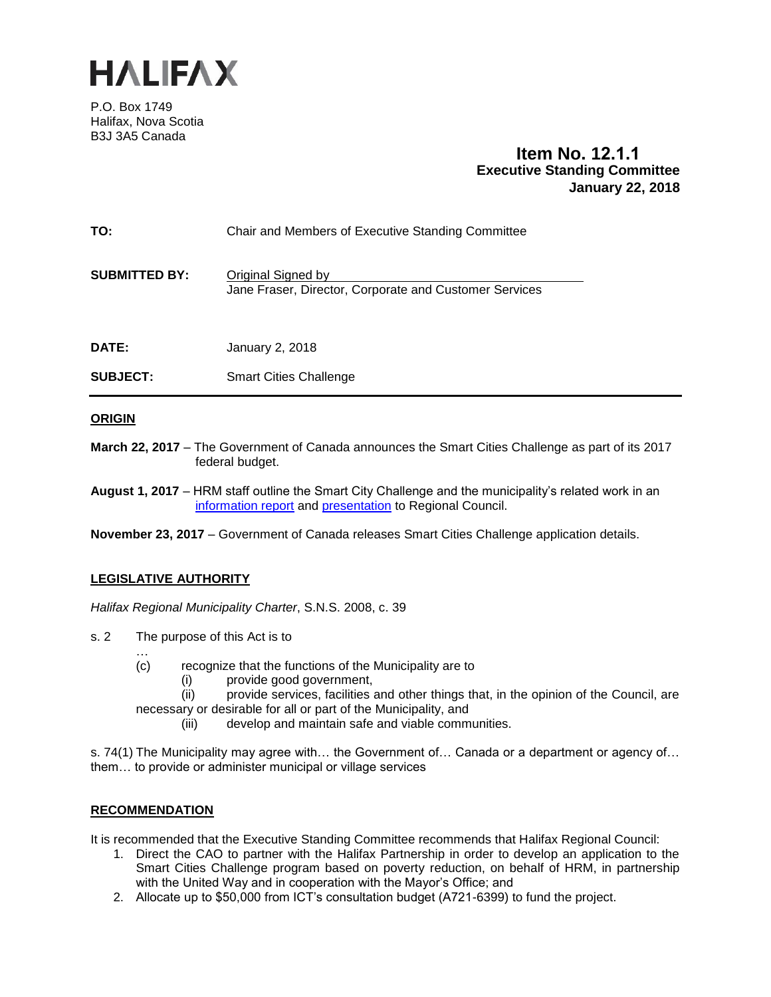

P.O. Box 1749 Halifax, Nova Scotia B3J 3A5 Canada

# **Item No. 12.1.1 Executive Standing Committee January 22, 2018**

| <b>SUBJECT:</b>      | <b>Smart Cities Challenge</b>                                                |
|----------------------|------------------------------------------------------------------------------|
| <b>DATE:</b>         | January 2, 2018                                                              |
| <b>SUBMITTED BY:</b> | Original Signed by<br>Jane Fraser, Director, Corporate and Customer Services |
| TO:                  | Chair and Members of Executive Standing Committee                            |

## **ORIGIN**

**March 22, 2017** – The Government of Canada announces the Smart Cities Challenge as part of its 2017 federal budget.

**August 1, 2017** – HRM staff outline the Smart City Challenge and the municipality's related work in an [information report](https://www.halifax.ca/sites/default/files/documents/city-hall/regional-council/170718rcinfo09.pdf) and [presentation](https://www.halifax.ca/sites/default/files/documents/city-hall/regional-council/170801rc131Pres.pdf) to Regional Council.

**November 23, 2017** – Government of Canada releases Smart Cities Challenge application details.

## **LEGISLATIVE AUTHORITY**

*Halifax Regional Municipality Charter*, S.N.S. 2008, c. 39

- s. 2 The purpose of this Act is to
	- … (c) recognize that the functions of the Municipality are to
		- (i) provide good government,
	- (ii) provide services, facilities and other things that, in the opinion of the Council, are necessary or desirable for all or part of the Municipality, and
		- (iii) develop and maintain safe and viable communities.

s. 74(1) The Municipality may agree with… the Government of… Canada or a department or agency of… them… to provide or administer municipal or village services

#### **RECOMMENDATION**

It is recommended that the Executive Standing Committee recommends that Halifax Regional Council:

- 1. Direct the CAO to partner with the Halifax Partnership in order to develop an application to the Smart Cities Challenge program based on poverty reduction, on behalf of HRM, in partnership with the United Way and in cooperation with the Mayor's Office; and
- 2. Allocate up to \$50,000 from ICT's consultation budget (A721-6399) to fund the project.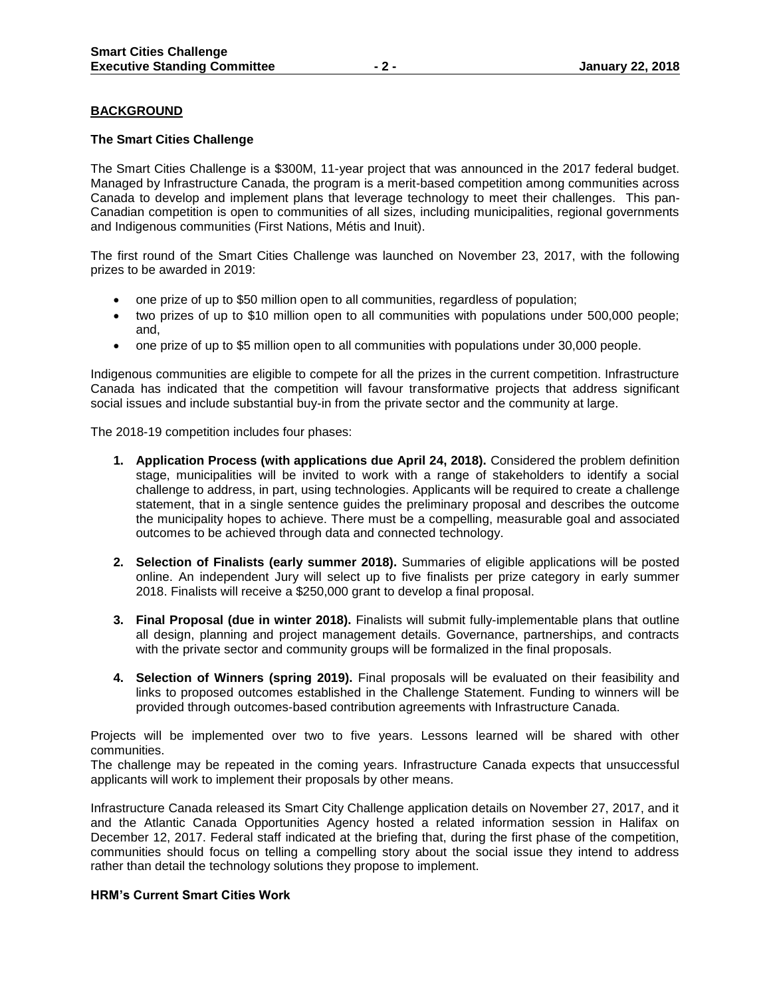### **BACKGROUND**

#### **The Smart Cities Challenge**

The Smart Cities Challenge is a \$300M, 11-year project that was announced in the 2017 federal budget. Managed by Infrastructure Canada, the program is a merit-based competition among communities across Canada to develop and implement plans that leverage technology to meet their challenges. This pan-Canadian competition is open to communities of all sizes, including municipalities, regional governments and Indigenous communities (First Nations, Métis and Inuit).

The first round of the Smart Cities Challenge was launched on November 23, 2017, with the following prizes to be awarded in 2019:

- one prize of up to \$50 million open to all communities, regardless of population;
- two prizes of up to \$10 million open to all communities with populations under 500,000 people; and,
- one prize of up to \$5 million open to all communities with populations under 30,000 people.

Indigenous communities are eligible to compete for all the prizes in the current competition. Infrastructure Canada has indicated that the competition will favour transformative projects that address significant social issues and include substantial buy-in from the private sector and the community at large.

The 2018-19 competition includes four phases:

- **1. Application Process (with applications due April 24, 2018).** Considered the problem definition stage, municipalities will be invited to work with a range of stakeholders to identify a social challenge to address, in part, using technologies. Applicants will be required to create a challenge statement, that in a single sentence guides the preliminary proposal and describes the outcome the municipality hopes to achieve. There must be a compelling, measurable goal and associated outcomes to be achieved through data and connected technology.
- **2. Selection of Finalists (early summer 2018).** Summaries of eligible applications will be posted online. An independent Jury will select up to five finalists per prize category in early summer 2018. Finalists will receive a \$250,000 grant to develop a final proposal.
- **3. Final Proposal (due in winter 2018).** Finalists will submit fully-implementable plans that outline all design, planning and project management details. Governance, partnerships, and contracts with the private sector and community groups will be formalized in the final proposals.
- **4. Selection of Winners (spring 2019).** Final proposals will be evaluated on their feasibility and links to proposed outcomes established in the Challenge Statement. Funding to winners will be provided through outcomes-based contribution agreements with Infrastructure Canada.

Projects will be implemented over two to five years. Lessons learned will be shared with other communities.

The challenge may be repeated in the coming years. Infrastructure Canada expects that unsuccessful applicants will work to implement their proposals by other means.

Infrastructure Canada released its Smart City Challenge application details on November 27, 2017, and it and the Atlantic Canada Opportunities Agency hosted a related information session in Halifax on December 12, 2017. Federal staff indicated at the briefing that, during the first phase of the competition, communities should focus on telling a compelling story about the social issue they intend to address rather than detail the technology solutions they propose to implement.

#### **HRM's Current Smart Cities Work**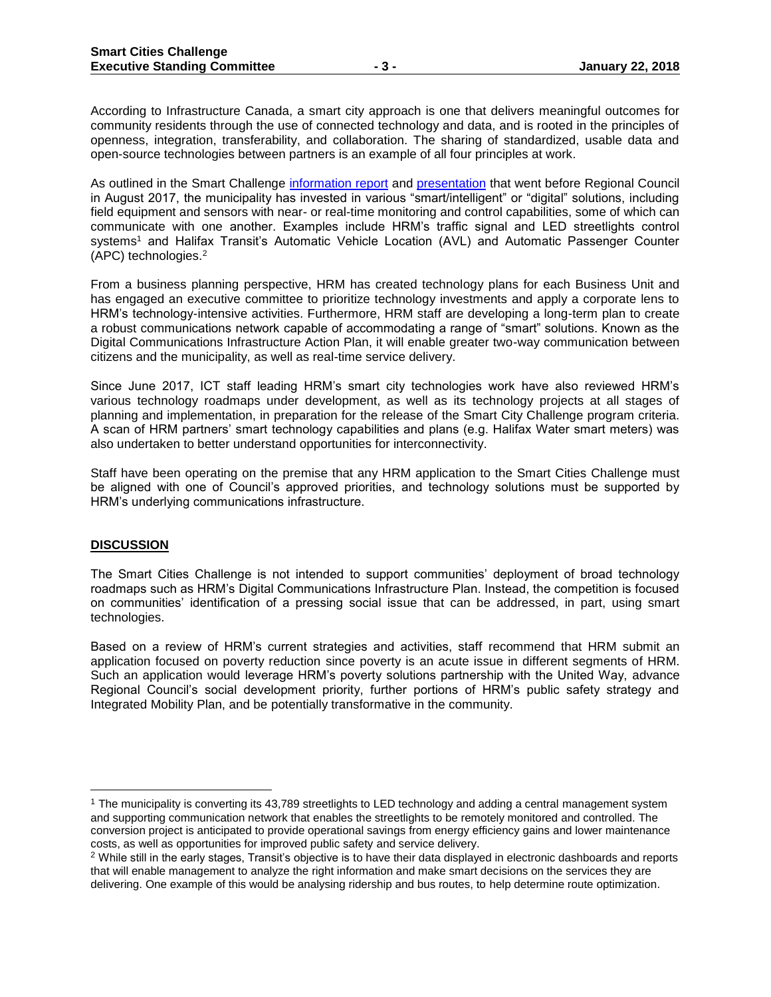According to Infrastructure Canada, a smart city approach is one that delivers meaningful outcomes for community residents through the use of connected technology and data, and is rooted in the principles of openness, integration, transferability, and collaboration. The sharing of standardized, usable data and open-source technologies between partners is an example of all four principles at work.

As outlined in the Smart Challenge [information report](https://www.halifax.ca/sites/default/files/documents/city-hall/regional-council/170718rcinfo09.pdf) and [presentation](https://www.halifax.ca/sites/default/files/documents/city-hall/regional-council/170801rc131Pres.pdf) that went before Regional Council in August 2017, the municipality has invested in various "smart/intelligent" or "digital" solutions, including field equipment and sensors with near- or real-time monitoring and control capabilities, some of which can communicate with one another. Examples include HRM's traffic signal and LED streetlights control systems<sup>1</sup> and Halifax Transit's Automatic Vehicle Location (AVL) and Automatic Passenger Counter (APC) technologies.<sup>2</sup>

From a business planning perspective, HRM has created technology plans for each Business Unit and has engaged an executive committee to prioritize technology investments and apply a corporate lens to HRM's technology-intensive activities. Furthermore, HRM staff are developing a long-term plan to create a robust communications network capable of accommodating a range of "smart" solutions. Known as the Digital Communications Infrastructure Action Plan, it will enable greater two-way communication between citizens and the municipality, as well as real-time service delivery.

Since June 2017, ICT staff leading HRM's smart city technologies work have also reviewed HRM's various technology roadmaps under development, as well as its technology projects at all stages of planning and implementation, in preparation for the release of the Smart City Challenge program criteria. A scan of HRM partners' smart technology capabilities and plans (e.g. Halifax Water smart meters) was also undertaken to better understand opportunities for interconnectivity.

Staff have been operating on the premise that any HRM application to the Smart Cities Challenge must be aligned with one of Council's approved priorities, and technology solutions must be supported by HRM's underlying communications infrastructure.

#### **DISCUSSION**

 $\overline{a}$ 

The Smart Cities Challenge is not intended to support communities' deployment of broad technology roadmaps such as HRM's Digital Communications Infrastructure Plan. Instead, the competition is focused on communities' identification of a pressing social issue that can be addressed, in part, using smart technologies.

Based on a review of HRM's current strategies and activities, staff recommend that HRM submit an application focused on poverty reduction since poverty is an acute issue in different segments of HRM. Such an application would leverage HRM's poverty solutions partnership with the United Way, advance Regional Council's social development priority, further portions of HRM's public safety strategy and Integrated Mobility Plan, and be potentially transformative in the community.

<sup>&</sup>lt;sup>1</sup> The municipality is converting its 43,789 streetlights to LED technology and adding a central management system and supporting communication network that enables the streetlights to be remotely monitored and controlled. The conversion project is anticipated to provide operational savings from energy efficiency gains and lower maintenance costs, as well as opportunities for improved public safety and service delivery.

<sup>&</sup>lt;sup>2</sup> While still in the early stages, Transit's objective is to have their data displayed in electronic dashboards and reports that will enable management to analyze the right information and make smart decisions on the services they are delivering. One example of this would be analysing ridership and bus routes, to help determine route optimization.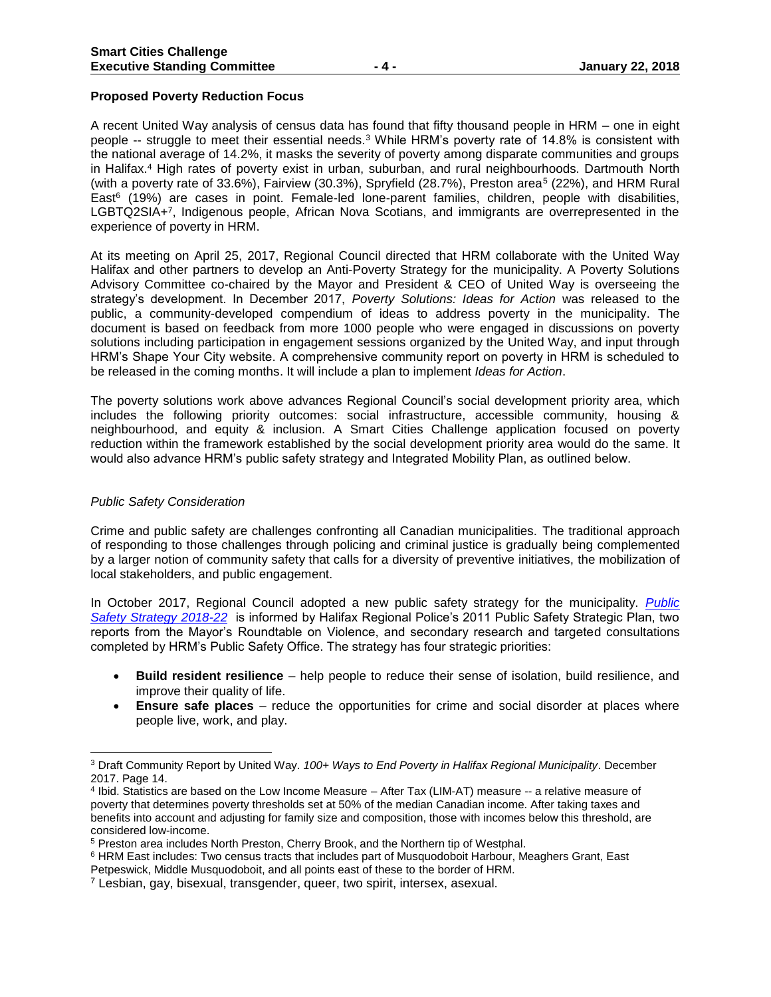#### **Proposed Poverty Reduction Focus**

A recent United Way analysis of census data has found that fifty thousand people in HRM – one in eight people -- struggle to meet their essential needs.<sup>3</sup> While HRM's poverty rate of 14.8% is consistent with the national average of 14.2%, it masks the severity of poverty among disparate communities and groups in Halifax.<sup>4</sup> High rates of poverty exist in urban, suburban, and rural neighbourhoods. Dartmouth North (with a poverty rate of 33.6%), Fairview (30.3%), Spryfield (28.7%), Preston area<sup>5</sup> (22%), and HRM Rural East<sup>6</sup> (19%) are cases in point. Female-led lone-parent families, children, people with disabilities, LGBTQ2SIA+<sup>7</sup> , Indigenous people, African Nova Scotians, and immigrants are overrepresented in the experience of poverty in HRM.

At its meeting on April 25, 2017, Regional Council directed that HRM collaborate with the United Way Halifax and other partners to develop an Anti-Poverty Strategy for the municipality. A Poverty Solutions Advisory Committee co-chaired by the Mayor and President & CEO of United Way is overseeing the strategy's development. In December 2017, *Poverty Solutions: Ideas for Action* was released to the public, a community-developed compendium of ideas to address poverty in the municipality. The document is based on feedback from more 1000 people who were engaged in discussions on poverty solutions including participation in engagement sessions organized by the United Way, and input through HRM's Shape Your City website. A comprehensive community report on poverty in HRM is scheduled to be released in the coming months. It will include a plan to implement *Ideas for Action*.

The poverty solutions work above advances Regional Council's social development priority area, which includes the following priority outcomes: social infrastructure, accessible community, housing & neighbourhood, and equity & inclusion. A Smart Cities Challenge application focused on poverty reduction within the framework established by the social development priority area would do the same. It would also advance HRM's public safety strategy and Integrated Mobility Plan, as outlined below.

#### *Public Safety Consideration*

Crime and public safety are challenges confronting all Canadian municipalities. The traditional approach of responding to those challenges through policing and criminal justice is gradually being complemented by a larger notion of community safety that calls for a diversity of preventive initiatives, the mobilization of local stakeholders, and public engagement.

In October 2017, Regional Council adopted a new public safety strategy for the municipality. *[Public](https://www.halifax.ca/sites/default/files/documents/city-hall/regional-council/171031rc1415.pdf)  [Safety Strategy 2018-22](https://www.halifax.ca/sites/default/files/documents/city-hall/regional-council/171031rc1415.pdf)* is informed by Halifax Regional Police's 2011 Public Safety Strategic Plan, two reports from the Mayor's Roundtable on Violence, and secondary research and targeted consultations completed by HRM's Public Safety Office. The strategy has four strategic priorities:

- **Build resident resilience**  help people to reduce their sense of isolation, build resilience, and improve their quality of life.
- **Ensure safe places**  reduce the opportunities for crime and social disorder at places where people live, work, and play.

<sup>3</sup> Draft Community Report by United Way. *100+ Ways to End Poverty in Halifax Regional Municipality*. December 2017. Page 14.

<sup>4</sup> Ibid. Statistics are based on the Low Income Measure – After Tax (LIM-AT) measure -- a relative measure of poverty that determines poverty thresholds set at 50% of the median Canadian income. After taking taxes and benefits into account and adjusting for family size and composition, those with incomes below this threshold, are considered low-income.

<sup>5</sup> Preston area includes North Preston, Cherry Brook, and the Northern tip of Westphal.

<sup>&</sup>lt;sup>6</sup> HRM East includes: Two census tracts that includes part of Musquodoboit Harbour, Meaghers Grant, East Petpeswick, Middle Musquodoboit, and all points east of these to the border of HRM.

<sup>7</sup> Lesbian, gay, bisexual, transgender, queer, two spirit, intersex, asexual.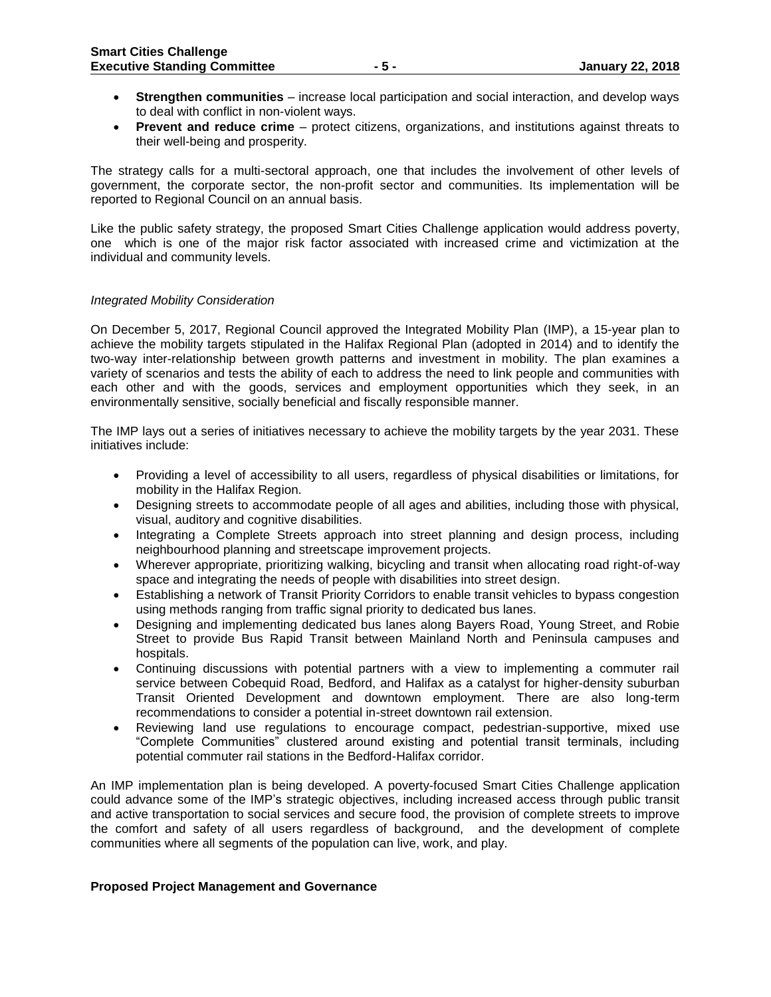- **Strengthen communities**  increase local participation and social interaction, and develop ways to deal with conflict in non-violent ways.
- **Prevent and reduce crime**  protect citizens, organizations, and institutions against threats to their well-being and prosperity.

The strategy calls for a multi-sectoral approach, one that includes the involvement of other levels of government, the corporate sector, the non-profit sector and communities. Its implementation will be reported to Regional Council on an annual basis.

Like the public safety strategy, the proposed Smart Cities Challenge application would address poverty, one which is one of the major risk factor associated with increased crime and victimization at the individual and community levels.

#### *Integrated Mobility Consideration*

On December 5, 2017, Regional Council approved the Integrated Mobility Plan (IMP), a 15-year plan to achieve the mobility targets stipulated in the Halifax Regional Plan (adopted in 2014) and to identify the two-way inter-relationship between growth patterns and investment in mobility. The plan examines a variety of scenarios and tests the ability of each to address the need to link people and communities with each other and with the goods, services and employment opportunities which they seek, in an environmentally sensitive, socially beneficial and fiscally responsible manner.

The IMP lays out a series of initiatives necessary to achieve the mobility targets by the year 2031. These initiatives include:

- Providing a level of accessibility to all users, regardless of physical disabilities or limitations, for mobility in the Halifax Region.
- Designing streets to accommodate people of all ages and abilities, including those with physical, visual, auditory and cognitive disabilities.
- Integrating a Complete Streets approach into street planning and design process, including neighbourhood planning and streetscape improvement projects.
- Wherever appropriate, prioritizing walking, bicycling and transit when allocating road right-of-way space and integrating the needs of people with disabilities into street design.
- Establishing a network of Transit Priority Corridors to enable transit vehicles to bypass congestion using methods ranging from traffic signal priority to dedicated bus lanes.
- Designing and implementing dedicated bus lanes along Bayers Road, Young Street, and Robie Street to provide Bus Rapid Transit between Mainland North and Peninsula campuses and hospitals.
- Continuing discussions with potential partners with a view to implementing a commuter rail service between Cobequid Road, Bedford, and Halifax as a catalyst for higher-density suburban Transit Oriented Development and downtown employment. There are also long-term recommendations to consider a potential in-street downtown rail extension.
- Reviewing land use regulations to encourage compact, pedestrian-supportive, mixed use "Complete Communities" clustered around existing and potential transit terminals, including potential commuter rail stations in the Bedford-Halifax corridor.

An IMP implementation plan is being developed. A poverty-focused Smart Cities Challenge application could advance some of the IMP's strategic objectives, including increased access through public transit and active transportation to social services and secure food, the provision of complete streets to improve the comfort and safety of all users regardless of background, and the development of complete communities where all segments of the population can live, work, and play.

#### **Proposed Project Management and Governance**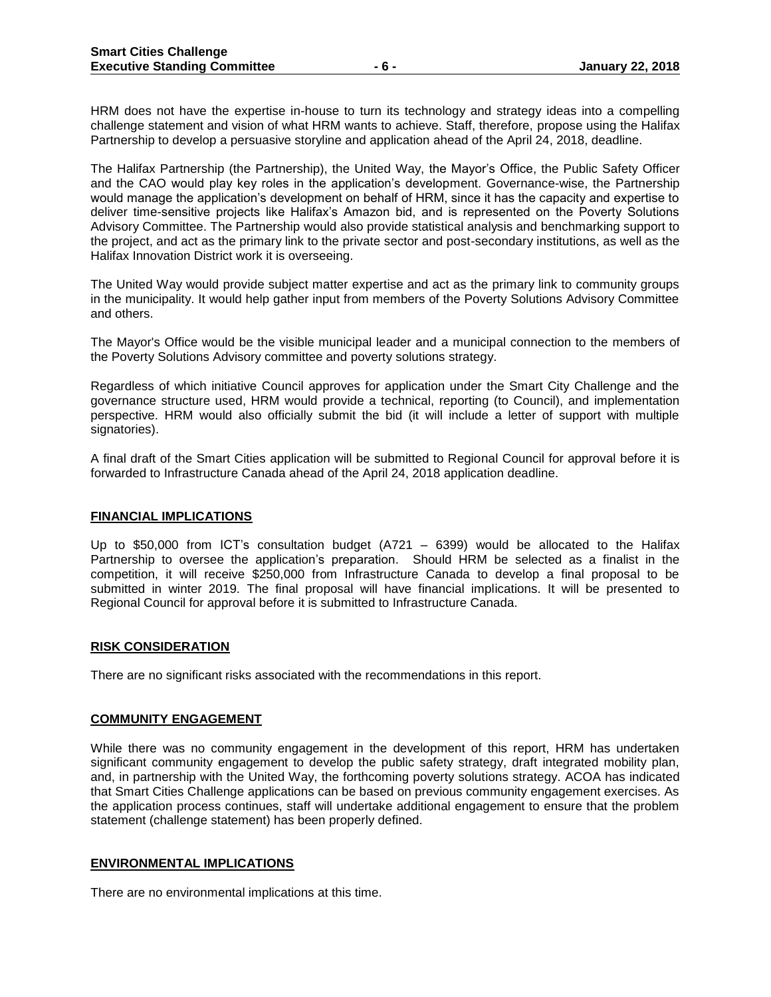HRM does not have the expertise in-house to turn its technology and strategy ideas into a compelling challenge statement and vision of what HRM wants to achieve. Staff, therefore, propose using the Halifax Partnership to develop a persuasive storyline and application ahead of the April 24, 2018, deadline.

The Halifax Partnership (the Partnership), the United Way, the Mayor's Office, the Public Safety Officer and the CAO would play key roles in the application's development. Governance-wise, the Partnership would manage the application's development on behalf of HRM, since it has the capacity and expertise to deliver time-sensitive projects like Halifax's Amazon bid, and is represented on the Poverty Solutions Advisory Committee. The Partnership would also provide statistical analysis and benchmarking support to the project, and act as the primary link to the private sector and post-secondary institutions, as well as the Halifax Innovation District work it is overseeing.

The United Way would provide subject matter expertise and act as the primary link to community groups in the municipality. It would help gather input from members of the Poverty Solutions Advisory Committee and others.

The Mayor's Office would be the visible municipal leader and a municipal connection to the members of the Poverty Solutions Advisory committee and poverty solutions strategy.

Regardless of which initiative Council approves for application under the Smart City Challenge and the governance structure used, HRM would provide a technical, reporting (to Council), and implementation perspective. HRM would also officially submit the bid (it will include a letter of support with multiple signatories).

A final draft of the Smart Cities application will be submitted to Regional Council for approval before it is forwarded to Infrastructure Canada ahead of the April 24, 2018 application deadline.

#### **FINANCIAL IMPLICATIONS**

Up to \$50,000 from ICT's consultation budget (A721 – 6399) would be allocated to the Halifax Partnership to oversee the application's preparation. Should HRM be selected as a finalist in the competition, it will receive \$250,000 from Infrastructure Canada to develop a final proposal to be submitted in winter 2019. The final proposal will have financial implications. It will be presented to Regional Council for approval before it is submitted to Infrastructure Canada.

#### **RISK CONSIDERATION**

There are no significant risks associated with the recommendations in this report.

#### **COMMUNITY ENGAGEMENT**

While there was no community engagement in the development of this report, HRM has undertaken significant community engagement to develop the public safety strategy, draft integrated mobility plan, and, in partnership with the United Way, the forthcoming poverty solutions strategy. ACOA has indicated that Smart Cities Challenge applications can be based on previous community engagement exercises. As the application process continues, staff will undertake additional engagement to ensure that the problem statement (challenge statement) has been properly defined.

#### **ENVIRONMENTAL IMPLICATIONS**

There are no environmental implications at this time.